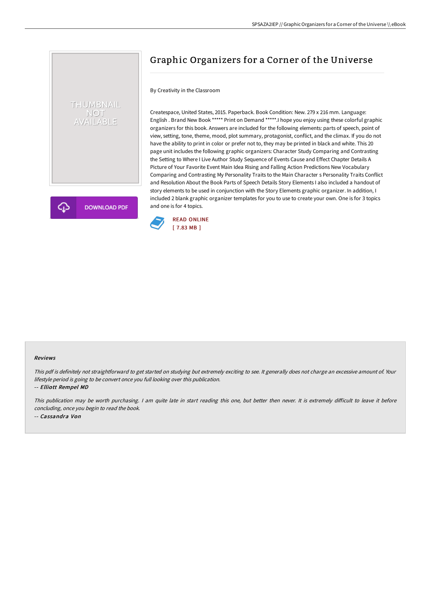## Graphic Organizers for a Corner of the Universe

## By Creativity in the Classroom

Createspace, United States, 2015. Paperback. Book Condition: New. 279 x 216 mm. Language: English . Brand New Book \*\*\*\*\* Print on Demand \*\*\*\*\*.I hope you enjoy using these colorful graphic organizers for this book. Answers are included for the following elements: parts of speech, point of view, setting, tone, theme, mood, plot summary, protagonist, conflict, and the climax. If you do not have the ability to print in color or prefer not to, they may be printed in black and white. This 20 page unit includes the following graphic organizers: Character Study Comparing and Contrasting the Setting to Where I Live Author Study Sequence of Events Cause and Effect Chapter Details A Picture of Your Favorite Event Main Idea Rising and Falling Action Predictions New Vocabulary Comparing and Contrasting My Personality Traits to the Main Character s Personality Traits Conflict and Resolution About the Book Parts of Speech Details Story Elements I also included a handout of story elements to be used in conjunction with the Story Elements graphic organizer. In addition, I included 2 blank graphic organizer templates for you to use to create your own. One is for 3 topics and one is for 4 topics.



## Reviews

This pdf is definitely not straightforward to get started on studying but extremely exciting to see. It generally does not charge an excessive amount of. Your lifestyle period is going to be convert once you full looking over this publication.

-- Elliott Rempel MD

THUMBNAIL NOT<br>AVAILABLE

**DOWNLOAD PDF** 

This publication may be worth purchasing. I am quite late in start reading this one, but better then never. It is extremely difficult to leave it before concluding, once you begin to read the book. -- Cassandra Von